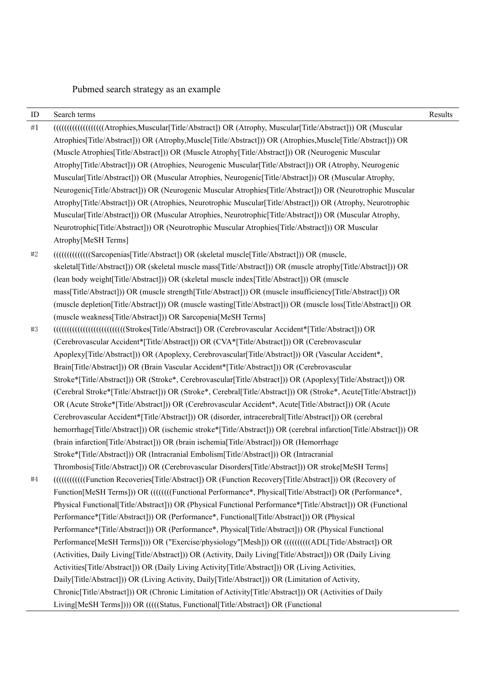# Pubmed search strategy as an example

| ID         | Search terms                                                                                                            | Results |
|------------|-------------------------------------------------------------------------------------------------------------------------|---------|
| $\#1$      | [[[[[[[[[[[[[[[[[[[[[[[[[[[[[]]]]]]] OR (Muscular[Title/Abstract]) OR (Atrophy, Muscular[Title/Abstract])) OR (Muscular |         |
|            | Atrophies[Title/Abstract])) OR (Atrophy, Muscle[Title/Abstract])) OR (Atrophies, Muscle[Title/Abstract])) OR            |         |
|            | (Muscle Atrophies[Title/Abstract])) OR (Muscle Atrophy[Title/Abstract])) OR (Neurogenic Muscular                        |         |
|            | Atrophy[Title/Abstract])) OR (Atrophies, Neurogenic Muscular[Title/Abstract])) OR (Atrophy, Neurogenic                  |         |
|            | Muscular (Title/Abstract)) OR (Muscular Atrophies, Neurogenic [Title/Abstract]) OR (Muscular Atrophy,                   |         |
|            | Neurogenic[Title/Abstract])) OR (Neurogenic Muscular Atrophies[Title/Abstract])) OR (Neurotrophic Muscular              |         |
|            | Atrophy[Title/Abstract])) OR (Atrophies, Neurotrophic Muscular[Title/Abstract])) OR (Atrophy, Neurotrophic              |         |
|            | Muscular (Title/Abstract)) OR (Muscular Atrophies, Neurotrophic (Title/Abstract)) OR (Muscular Atrophy,                 |         |
|            | Neurotrophic[Title/Abstract])) OR (Neurotrophic Muscular Atrophies[Title/Abstract])) OR Muscular                        |         |
|            | Atrophy[MeSH Terms]                                                                                                     |         |
| $\sharp 2$ | [[[[[[[[[[[[[[[[[[[[[[[[[[]]]]]] OR (skeletal muscle[Title/Abstract]) OR (muscle,                                       |         |
|            | skeletal[Title/Abstract])) OR (skeletal muscle mass[Title/Abstract])) OR (muscle atrophy[Title/Abstract])) OR           |         |
|            | (lean body weight[Title/Abstract])) OR (skeletal muscle index[Title/Abstract])) OR (muscle                              |         |
|            | mass[Title/Abstract])) OR (muscle strength[Title/Abstract])) OR (muscle insufficiency[Title/Abstract])) OR              |         |
|            | (muscle depletion[Title/Abstract])) OR (muscle wasting[Title/Abstract])) OR (muscle loss[Title/Abstract])) OR           |         |
|            | (muscle weakness[Title/Abstract])) OR Sarcopenia[MeSH Terms]                                                            |         |
| $\#3$      | [[[[[E] (Abstract]) OR (Cerebrovascular Accident*[Title/Abstract]) OR                                                   |         |
|            | (Cerebrovascular Accident*[Title/Abstract])) OR (CVA*[Title/Abstract])) OR (Cerebrovascular                             |         |
|            | Apoplexy[Title/Abstract])) OR (Apoplexy, Cerebrovascular[Title/Abstract])) OR (Vascular Accident*,                      |         |
|            | Brain[Title/Abstract]) OR (Brain Vascular Accident*[Title/Abstract])) OR (Cerebrovascular                               |         |
|            | Stroke*[Title/Abstract])) OR (Stroke*, Cerebrovascular[Title/Abstract])) OR (Apoplexy[Title/Abstract])) OR              |         |
|            | (Cerebral Stroke*[Title/Abstract])) OR (Stroke*, Cerebral[Title/Abstract])) OR (Stroke*, Acute[Title/Abstract]))        |         |
|            | OR (Acute Stroke*[Title/Abstract]) OR (Cerebrovascular Accident*, Acute[Title/Abstract]) OR (Acute                      |         |
|            | Cerebrovascular Accident*[Title/Abstract]) OR (disorder, intracerebral[Title/Abstract])) OR (cerebral                   |         |
|            | hemorrhage[Title/Abstract]) OR (ischemic stroke*[Title/Abstract]) OR (cerebral infarction[Title/Abstract]) OR           |         |
|            | (brain infarction[Title/Abstract])) OR (brain ischemia[Title/Abstract])) OR (Hemorrhage                                 |         |
|            | Stroke*[Title/Abstract]) OR (Intracranial Embolism[Title/Abstract]) OR (Intracranial                                    |         |
|            | Thrombosis[Title/Abstract])) OR (Cerebrovascular Disorders[Title/Abstract])) OR stroke[MeSH Terms]                      |         |
| $\#4$      | (((((((((((((Function Recoveries[Title/Abstract]) OR (Function Recovery [Title/Abstract])) OR (Recovery of              |         |
|            | Function[MeSH Terms])) OR (((((((Functional Performance*, Physical[Title/Abstract]) OR (Performance*,                   |         |
|            | Physical Functional[Title/Abstract])) OR (Physical Functional Performance*[Title/Abstract])) OR (Functional             |         |
|            | Performance*[Title/Abstract]) OR (Performance*, Functional[Title/Abstract]) OR (Physical                                |         |
|            | Performance*[Title/Abstract])) OR (Performance*, Physical[Title/Abstract])) OR (Physical Functional                     |         |
|            | Performance[MeSH Terms]))) OR ("Exercise/physiology"[Mesh])) OR (((((((((ADL[Title/Abstract]) OR                        |         |
|            | (Activities, Daily Living[Title/Abstract]) OR (Activity, Daily Living[Title/Abstract])) OR (Daily Living                |         |
|            | Activities [Title/Abstract])) OR (Daily Living Activity [Title/Abstract])) OR (Living Activities,                       |         |
|            | Daily[Title/Abstract])) OR (Living Activity, Daily[Title/Abstract])) OR (Limitation of Activity,                        |         |
|            | Chronic[Title/Abstract])) OR (Chronic Limitation of Activity[Title/Abstract])) OR (Activities of Daily                  |         |
|            | Living[MeSH Terms]))) OR (((((Status, Functional[Title/Abstract]) OR (Functional                                        |         |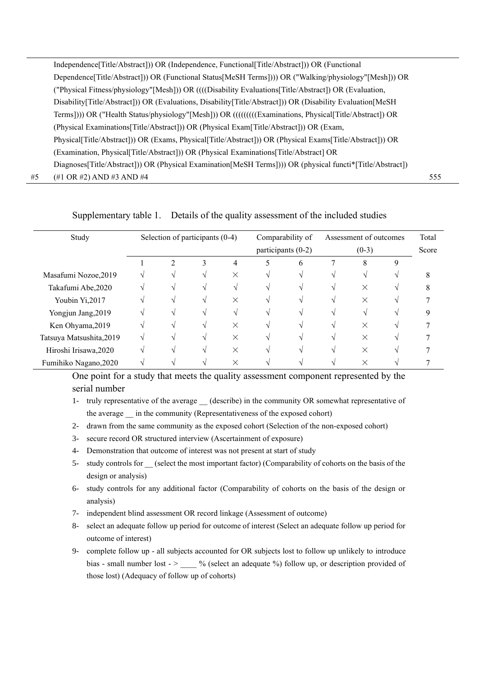|    | Independence [Title/Abstract]) OR (Independence, Functional [Title/Abstract]) OR (Functional              |     |
|----|-----------------------------------------------------------------------------------------------------------|-----|
|    | Dependence [Title/Abstract]) OR (Functional Status [MeSH Terms])) OR ("Walking/physiology" [Mesh]) OR     |     |
|    | ("Physical Fitness/physiology"[Mesh])) OR ((((Disability Evaluations[Title/Abstract]) OR (Evaluation,     |     |
|    | Disability[Title/Abstract])) OR (Evaluations, Disability[Title/Abstract])) OR (Disability Evaluation[MeSH |     |
|    | Terms]))) OR ("Health Status/physiology"[Mesh])) OR ((((((((Examinations, Physical[Title/Abstract]) OR    |     |
|    | (Physical Examinations [Title/Abstract])) OR (Physical Exam [Title/Abstract])) OR (Exam,                  |     |
|    | Physical[Title/Abstract])) OR (Exams, Physical[Title/Abstract]) OR (Physical Exams[Title/Abstract])) OR   |     |
|    | (Examination, Physical[Title/Abstract])) OR (Physical Examinations[Title/Abstract] OR                     |     |
|    | Diagnoses[Title/Abstract]) OR (Physical Examination[MeSH Terms]))) OR (physical functi*[Title/Abstract])  |     |
| #5 | $(\#1 \text{ OR } \#2)$ AND $\#3$ AND $\#4$                                                               | 555 |

## Supplementary table 1. Details of the quality assessment of the included studies

| Study                    | Selection of participants (0-4) |                |   |          | Comparability of<br>participants $(0-2)$ |              | Assessment of outcomes<br>$(0-3)$ |          |   | Total |
|--------------------------|---------------------------------|----------------|---|----------|------------------------------------------|--------------|-----------------------------------|----------|---|-------|
|                          |                                 |                |   |          |                                          |              |                                   |          |   | Score |
|                          |                                 | $\mathfrak{D}$ | 3 | 4        |                                          | <sub>6</sub> |                                   | 8        | 9 |       |
| Masafumi Nozoe, 2019     |                                 |                |   | X        |                                          |              |                                   |          |   | 8     |
| Takafumi Abe, 2020       |                                 |                |   |          |                                          |              |                                   | $\times$ |   | 8     |
| Youbin Yi,2017           |                                 |                |   | $\times$ |                                          |              |                                   | ×        |   |       |
| Yongjun Jang, 2019       |                                 |                |   |          |                                          |              |                                   |          |   |       |
| Ken Ohyama, 2019         |                                 |                |   | $\times$ |                                          |              |                                   | $\times$ |   |       |
| Tatsuya Matsushita, 2019 |                                 |                |   | $\times$ |                                          |              |                                   | $\times$ |   |       |
| Hiroshi Irisawa, 2020    |                                 |                |   | $\times$ |                                          |              |                                   |          |   |       |
| Fumihiko Nagano, 2020    |                                 |                |   | $\times$ |                                          |              |                                   | $\times$ |   |       |

One point for a study that meets the quality assessment component represented by the serial number

- 1- truly representative of the average (describe) in the community OR somewhat representative of the average in the community (Representativeness of the exposed cohort)
- 2- drawn from the same community as the exposed cohort (Selection of the non-exposed cohort)
- 3- secure record OR structured interview (Ascertainment of exposure)
- 4- Demonstration that outcome of interest was not present at start of study
- 5- study controls for (select the most important factor) (Comparability of cohorts on the basis of the design or analysis)
- 6- study controls for any additional factor (Comparability of cohorts on the basis of the design or analysis)
- 7- independent blind assessment OR record linkage (Assessment of outcome)
- 8- select an adequate follow up period for outcome of interest (Select an adequate follow up period for outcome of interest)
- 9- complete follow up all subjects accounted for OR subjects lost to follow up unlikely to introduce bias - small number lost - > \_\_\_\_ % (select an adequate %) follow up, or description provided of those lost) (Adequacy of follow up of cohorts)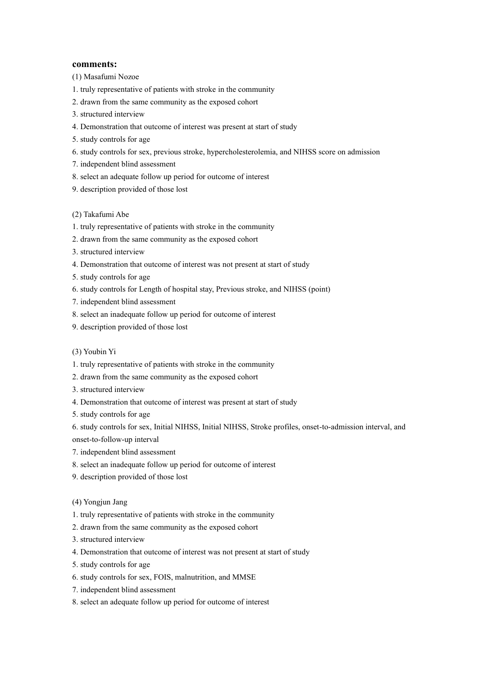#### **comments:**

(1) Masafumi Nozoe

- 1. truly representative of patients with stroke in the community
- 2. drawn from the same community as the exposed cohort
- 3. structured interview
- 4. Demonstration that outcome of interest was present at start of study
- 5. study controls for age
- 6. study controls for sex, previous stroke, hypercholesterolemia, and NIHSS score on admission
- 7. independent blind assessment
- 8. select an adequate follow up period for outcome of interest
- 9. description provided of those lost

### (2) Takafumi Abe

- 1. truly representative of patients with stroke in the community
- 2. drawn from the same community as the exposed cohort
- 3. structured interview
- 4. Demonstration that outcome of interest was not present at start of study
- 5. study controls for age
- 6. study controls for Length of hospital stay, Previous stroke, and NIHSS (point)
- 7. independent blind assessment
- 8. select an inadequate follow up period for outcome of interest
- 9. description provided of those lost

#### (3) Youbin Yi

- 1. truly representative of patients with stroke in the community
- 2. drawn from the same community as the exposed cohort
- 3. structured interview
- 4. Demonstration that outcome of interest was present at start of study
- 5. study controls for age

6. study controls for sex, Initial NIHSS, Initial NIHSS, Stroke profiles, onset-to-admission interval, and onset-to-follow-up interval

- 7. independent blind assessment
- 8. select an inadequate follow up period for outcome of interest
- 9. description provided of those lost
- (4) Yongjun Jang
- 1. truly representative of patients with stroke in the community
- 2. drawn from the same community as the exposed cohort
- 3. structured interview
- 4. Demonstration that outcome of interest was not present at start of study
- 5. study controls for age
- 6. study controls for sex, FOIS, malnutrition, and MMSE
- 7. independent blind assessment
- 8. select an adequate follow up period for outcome of interest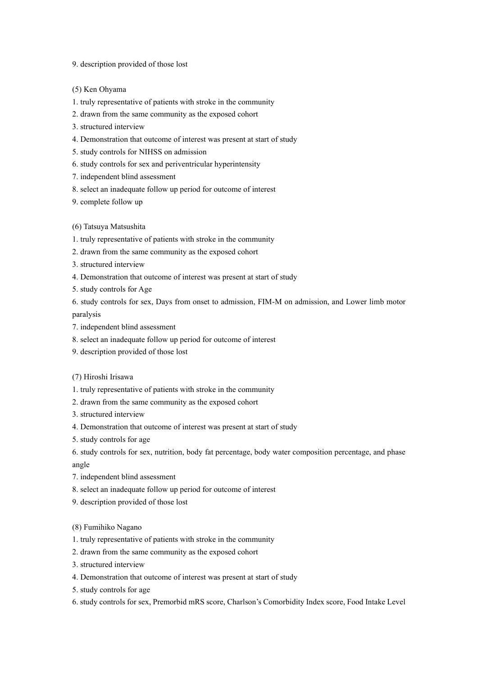9. description provided of those lost

(5) Ken Ohyama

1. truly representative of patients with stroke in the community

2. drawn from the same community as the exposed cohort

- 3. structured interview
- 4. Demonstration that outcome of interest was present at start of study
- 5. study controls for NIHSS on admission
- 6. study controls for sex and periventricular hyperintensity
- 7. independent blind assessment
- 8. select an inadequate follow up period for outcome of interest
- 9. complete follow up

(6) Tatsuya Matsushita

1. truly representative of patients with stroke in the community

- 2. drawn from the same community as the exposed cohort
- 3. structured interview

4. Demonstration that outcome of interest was present at start of study

5. study controls for Age

6. study controls for sex, Days from onset to admission, FIM-M on admission, and Lower limb motor paralysis

7. independent blind assessment

- 8. select an inadequate follow up period for outcome of interest
- 9. description provided of those lost

#### (7) Hiroshi Irisawa

- 1. truly representative of patients with stroke in the community
- 2. drawn from the same community as the exposed cohort
- 3. structured interview
- 4. Demonstration that outcome of interest was present at start of study
- 5. study controls for age

6. study controls for sex, nutrition, body fat percentage, body water composition percentage, and phase angle

- 7. independent blind assessment
- 8. select an inadequate follow up period for outcome of interest
- 9. description provided of those lost
- (8) Fumihiko Nagano
- 1. truly representative of patients with stroke in the community
- 2. drawn from the same community as the exposed cohort
- 3. structured interview
- 4. Demonstration that outcome of interest was present at start of study
- 5. study controls for age
- 6. study controls for sex, Premorbid mRS score, Charlson's Comorbidity Index score, Food Intake Level